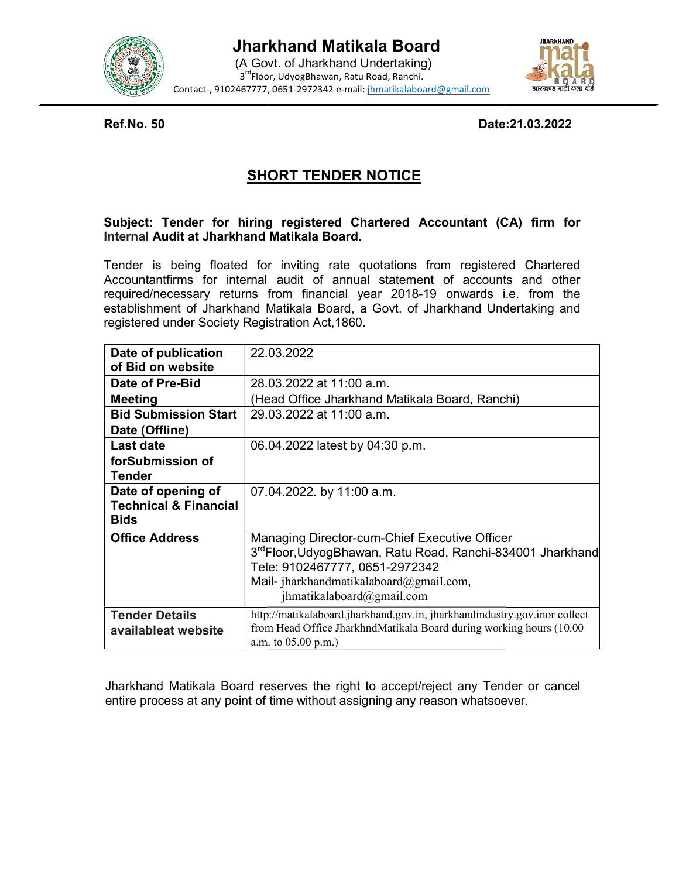



Ref.No. 50

Date: 21.03.2022

# SHORT TENDER NOTICE

# Subject: Tender for hiring registered Chartered Accountant (CA) firm for Internal Audit at Jharkhand Matikala Board Subject: Tender for hiring registered Chartered Accountant (CA) firm for<br>Internal Audit at Jharkhand Matikala Board.<br>Tender is being floated for inviting rate quotations from registered Chartered

| <b>Ref.No. 50</b>                                                     | Date: 21.03.2022                                                                                                                                                                                                                                                                                                                  |  |  |
|-----------------------------------------------------------------------|-----------------------------------------------------------------------------------------------------------------------------------------------------------------------------------------------------------------------------------------------------------------------------------------------------------------------------------|--|--|
| <b>SHORT TENDER NOTICE</b>                                            |                                                                                                                                                                                                                                                                                                                                   |  |  |
| Internal Audit at Jharkhand Matikala Board.                           | Subject: Tender for hiring registered Chartered Accountant (CA) firm for                                                                                                                                                                                                                                                          |  |  |
| registered under Society Registration Act, 1860.                      | Tender is being floated for inviting rate quotations from registered Chartered<br>Accountantfirms for internal audit of annual statement of accounts and other<br>required/necessary returns from financial year 2018-19 onwards i.e. from the<br>establishment of Jharkhand Matikala Board, a Govt. of Jharkhand Undertaking and |  |  |
| Date of publication<br>of Bid on website                              | 22.03.2022                                                                                                                                                                                                                                                                                                                        |  |  |
| Date of Pre-Bid                                                       | 28.03.2022 at 11:00 a.m.                                                                                                                                                                                                                                                                                                          |  |  |
| <b>Meeting</b>                                                        | (Head Office Jharkhand Matikala Board, Ranchi)                                                                                                                                                                                                                                                                                    |  |  |
| <b>Bid Submission Start</b><br>Date (Offline)                         | 29.03.2022 at 11:00 a.m.                                                                                                                                                                                                                                                                                                          |  |  |
| <b>Last date</b><br>forSubmission of<br><b>Tender</b>                 | 06.04.2022 latest by 04:30 p.m.                                                                                                                                                                                                                                                                                                   |  |  |
| Date of opening of<br><b>Technical &amp; Financial</b><br><b>Bids</b> | 07.04.2022. by 11:00 a.m.                                                                                                                                                                                                                                                                                                         |  |  |
| <b>Office Address</b>                                                 | Managing Director-cum-Chief Executive Officer<br>3 <sup>ra</sup> Floor, Udyog Bhawan, Ratu Road, Ranchi-834001 Jharkhand<br>Tele: 9102467777, 0651-2972342<br>Mail- jharkhandmatikalaboard@gmail.com,<br>jhmatikalaboard@gmail.com                                                                                                |  |  |
| <b>Tender Details</b><br>availableat website                          | http://matikalaboard.jharkhand.gov.in, jharkhandindustry.gov.inor collect<br>from Head Office JharkhndMatikala Board during working hours (10.00<br>a.m. to 05.00 p.m.)                                                                                                                                                           |  |  |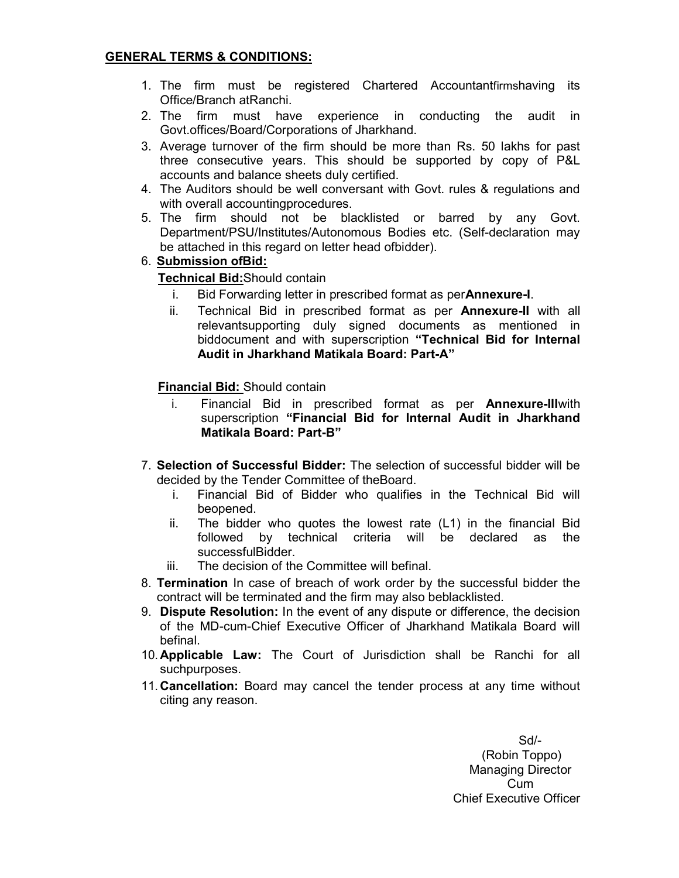### GENERAL TERMS & CONDITIONS:

- 1. The firm must be registered Chartered Accountantfirmshaving its Office/Branch atRanchi.
- 2. The firm must have experience in conducting the audit in Govt.offices/Board/Corporations of Jharkhand.
- 3. Average turnover of the firm should be more than Rs. 50 lakhs for past three consecutive years. This should be supported by copy of P&L accounts and balance sheets duly certified.
- 4. The Auditors should be well conversant with Govt. rules & regulations and with overall accountingprocedures.
- 5. The firm should not be blacklisted or barred by any Govt. Department/PSU/Institutes/Autonomous Bodies etc. (Self-declaration may be attached in this regard on letter head ofbidder).

### 6. Submission ofBid:

### Technical Bid:Should contain

- i. Bid Forwarding letter in prescribed format as perAnnexure-I.
- ii. Technical Bid in prescribed format as per **Annexure-II** with all relevantsupporting duly signed documents as mentioned in biddocument and with superscription "Technical Bid for Internal Audit in Jharkhand Matikala Board: Part-A"

### Financial Bid: Should contain

- i. Financial Bid in prescribed format as per **Annexure-III** with superscription "Financial Bid for Internal Audit in Jharkhand Matikala Board: Part-B"
- 7. Selection of Successful Bidder: The selection of successful bidder will be decided by the Tender Committee of theBoard.
	- i. Financial Bid of Bidder who qualifies in the Technical Bid will beopened.
	- ii. The bidder who quotes the lowest rate (L1) in the financial Bid followed by technical criteria will be declared as the successfulBidder.
	- iii. The decision of the Committee will befinal.
- 8. Termination In case of breach of work order by the successful bidder the contract will be terminated and the firm may also beblacklisted.
- 9. Dispute Resolution: In the event of any dispute or difference, the decision of the MD-cum-Chief Executive Officer of Jharkhand Matikala Board will befinal.
- 10. Applicable Law: The Court of Jurisdiction shall be Ranchi for all suchpurposes.
- 11. Cancellation: Board may cancel the tender process at any time without citing any reason.

Sd/- (Robin Toppo) Managing Director Cum Chief Executive Officer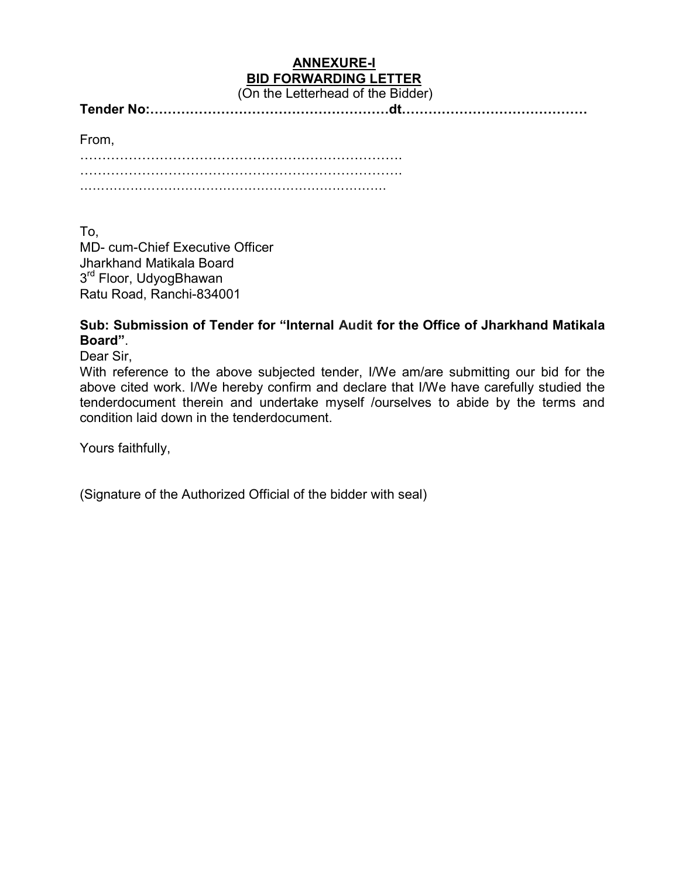# ANNEXURE-I BID FORWARDING LETTER

(On the Letterhead of the Bidder)

| Tender No:…………………………………………………dt…………………………………… |
|-----------------------------------------------|
|                                               |

From,

To, MD- cum-Chief Executive Officer Jharkhand Matikala Board 3<sup>rd</sup> Floor, UdyogBhawan Ratu Road, Ranchi-834001

# Sub: Submission of Tender for "Internal Audit for the Office of Jharkhand Matikala Board".

Dear Sir,

With reference to the above subjected tender, I/We am/are submitting our bid for the above cited work. I/We hereby confirm and declare that I/We have carefully studied the tenderdocument therein and undertake myself /ourselves to abide by the terms and condition laid down in the tenderdocument.

Yours faithfully,

(Signature of the Authorized Official of the bidder with seal)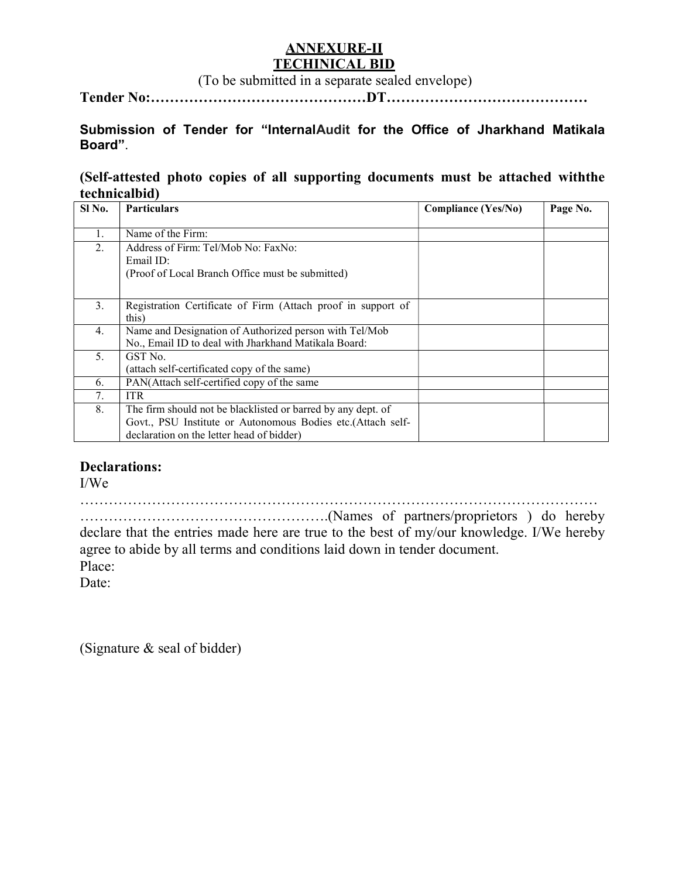# ANNEXURE-II TECHINICAL BID

(To be submitted in a separate sealed envelope)

Tender No:………………………………………DT……………………………………

# Submission of Tender for "InternalAudit for the Office of Jharkhand Matikala Board".

## (Self-attested photo copies of all supporting documents must be attached withthe technicalbid)

| Sl No. | <b>Particulars</b>                                           | <b>Compliance (Yes/No)</b> | Page No. |
|--------|--------------------------------------------------------------|----------------------------|----------|
|        |                                                              |                            |          |
| 1.     | Name of the Firm:                                            |                            |          |
| 2.     | Address of Firm: Tel/Mob No: FaxNo:                          |                            |          |
|        | Email ID:                                                    |                            |          |
|        | (Proof of Local Branch Office must be submitted)             |                            |          |
|        |                                                              |                            |          |
| 3.     | Registration Certificate of Firm (Attach proof in support of |                            |          |
|        | this)                                                        |                            |          |
| 4.     | Name and Designation of Authorized person with Tel/Mob       |                            |          |
|        | No., Email ID to deal with Jharkhand Matikala Board:         |                            |          |
| 5.     | GST No.                                                      |                            |          |
|        | (attach self-certificated copy of the same)                  |                            |          |
| 6.     | PAN(Attach self-certified copy of the same                   |                            |          |
| 7.     | <b>ITR</b>                                                   |                            |          |
| 8.     | The firm should not be blacklisted or barred by any dept. of |                            |          |
|        | Govt., PSU Institute or Autonomous Bodies etc.(Attach self-  |                            |          |
|        | declaration on the letter head of bidder)                    |                            |          |

## Declarations:

I/We

………………………………………………………………………………………………

…………………………………………….(Names of partners/proprietors ) do hereby declare that the entries made here are true to the best of my/our knowledge. I/We hereby agree to abide by all terms and conditions laid down in tender document. Place:

Date:

(Signature & seal of bidder)